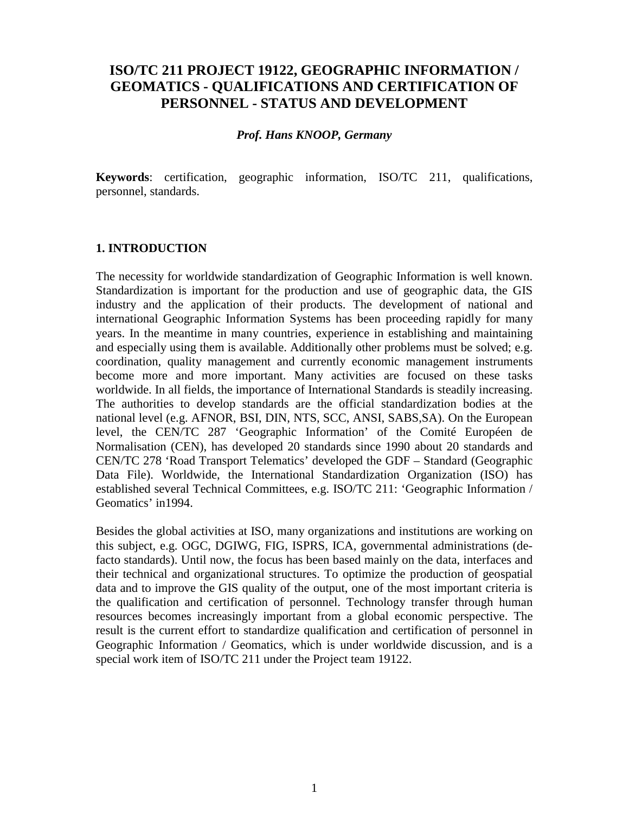# **ISO/TC 211 PROJECT 19122, GEOGRAPHIC INFORMATION / GEOMATICS - QUALIFICATIONS AND CERTIFICATION OF PERSONNEL - STATUS AND DEVELOPMENT**

#### *Prof. Hans KNOOP, Germany*

**Keywords**: certification, geographic information, ISO/TC 211, qualifications, personnel, standards.

#### **1. INTRODUCTION**

The necessity for worldwide standardization of Geographic Information is well known. Standardization is important for the production and use of geographic data, the GIS industry and the application of their products. The development of national and international Geographic Information Systems has been proceeding rapidly for many years. In the meantime in many countries, experience in establishing and maintaining and especially using them is available. Additionally other problems must be solved; e.g. coordination, quality management and currently economic management instruments become more and more important. Many activities are focused on these tasks worldwide. In all fields, the importance of International Standards is steadily increasing. The authorities to develop standards are the official standardization bodies at the national level (e.g. AFNOR, BSI, DIN, NTS, SCC, ANSI, SABS,SA). On the European level, the CEN/TC 287 'Geographic Information' of the Comité Européen de Normalisation (CEN), has developed 20 standards since 1990 about 20 standards and CEN/TC 278 'Road Transport Telematics' developed the GDF – Standard (Geographic Data File). Worldwide, the International Standardization Organization (ISO) has established several Technical Committees, e.g. ISO/TC 211: 'Geographic Information / Geomatics' in1994.

Besides the global activities at ISO, many organizations and institutions are working on this subject, e.g. OGC, DGIWG, FIG, ISPRS, ICA, governmental administrations (defacto standards). Until now, the focus has been based mainly on the data, interfaces and their technical and organizational structures. To optimize the production of geospatial data and to improve the GIS quality of the output, one of the most important criteria is the qualification and certification of personnel. Technology transfer through human resources becomes increasingly important from a global economic perspective. The result is the current effort to standardize qualification and certification of personnel in Geographic Information / Geomatics, which is under worldwide discussion, and is a special work item of ISO/TC 211 under the Project team 19122.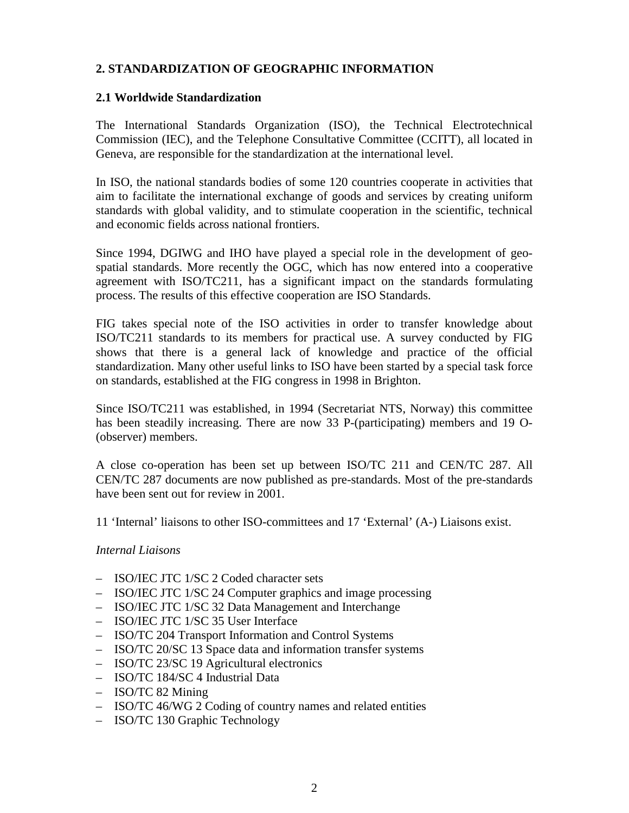# **2. STANDARDIZATION OF GEOGRAPHIC INFORMATION**

#### **2.1 Worldwide Standardization**

The International Standards Organization (ISO), the Technical Electrotechnical Commission (IEC), and the Telephone Consultative Committee (CCITT), all located in Geneva, are responsible for the standardization at the international level.

In ISO, the national standards bodies of some 120 countries cooperate in activities that aim to facilitate the international exchange of goods and services by creating uniform standards with global validity, and to stimulate cooperation in the scientific, technical and economic fields across national frontiers.

Since 1994, DGIWG and IHO have played a special role in the development of geospatial standards. More recently the OGC, which has now entered into a cooperative agreement with ISO/TC211, has a significant impact on the standards formulating process. The results of this effective cooperation are ISO Standards.

FIG takes special note of the ISO activities in order to transfer knowledge about ISO/TC211 standards to its members for practical use. A survey conducted by FIG shows that there is a general lack of knowledge and practice of the official standardization. Many other useful links to ISO have been started by a special task force on standards, established at the FIG congress in 1998 in Brighton.

Since ISO/TC211 was established, in 1994 (Secretariat NTS, Norway) this committee has been steadily increasing. There are now 33 P-(participating) members and 19 O- (observer) members.

A close co-operation has been set up between ISO/TC 211 and CEN/TC 287. All CEN/TC 287 documents are now published as pre-standards. Most of the pre-standards have been sent out for review in 2001.

11 'Internal' liaisons to other ISO-committees and 17 'External' (A-) Liaisons exist.

#### *Internal Liaisons*

- ISO/IEC JTC 1/SC 2 Coded character sets
- ISO/IEC JTC 1/SC 24 Computer graphics and image processing
- ISO/IEC JTC 1/SC 32 Data Management and Interchange
- ISO/IEC JTC 1/SC 35 User Interface
- ISO/TC 204 Transport Information and Control Systems
- ISO/TC 20/SC 13 Space data and information transfer systems
- ISO/TC 23/SC 19 Agricultural electronics
- ISO/TC 184/SC 4 Industrial Data
- ISO/TC 82 Mining
- ISO/TC 46/WG 2 Coding of country names and related entities
- ISO/TC 130 Graphic Technology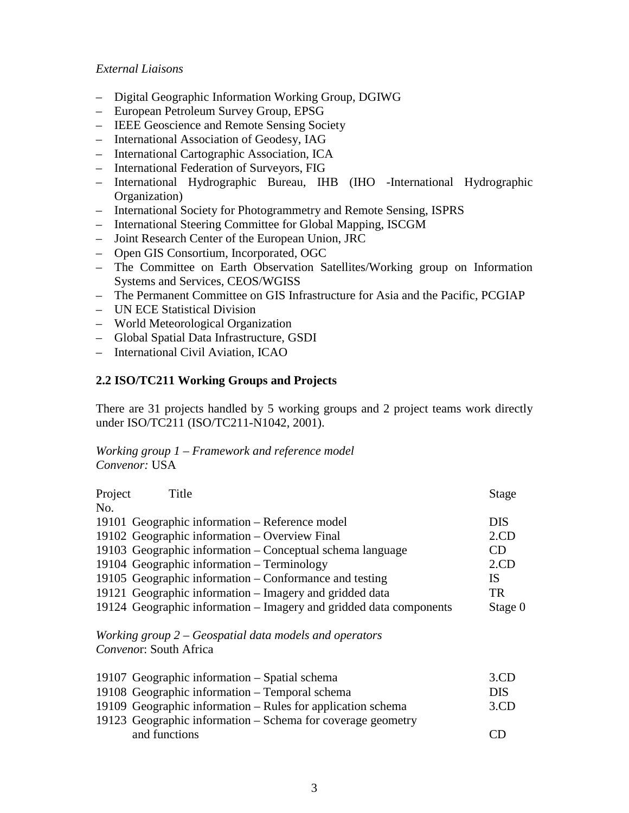#### *External Liaisons*

- Digital Geographic Information Working Group, DGIWG
- European Petroleum Survey Group, EPSG
- IEEE Geoscience and Remote Sensing Society
- International Association of Geodesy, IAG
- International Cartographic Association, ICA
- International Federation of Surveyors, FIG
- International Hydrographic Bureau, IHB (IHO -International Hydrographic Organization)
- International Society for Photogrammetry and Remote Sensing, ISPRS
- International Steering Committee for Global Mapping, ISCGM
- Joint Research Center of the European Union, JRC
- Open GIS Consortium, Incorporated, OGC
- The Committee on Earth Observation Satellites/Working group on Information Systems and Services, CEOS/WGISS
- The Permanent Committee on GIS Infrastructure for Asia and the Pacific, PCGIAP
- UN ECE Statistical Division
- World Meteorological Organization
- Global Spatial Data Infrastructure, GSDI
- International Civil Aviation, ICAO

#### **2.2 ISO/TC211 Working Groups and Projects**

There are 31 projects handled by 5 working groups and 2 project teams work directly under ISO/TC211 (ISO/TC211-N1042, 2001).

#### *Working group 1 – Framework and reference model Convenor:* USA

| Project        | Title                                                              | Stage      |
|----------------|--------------------------------------------------------------------|------------|
| N <sub>O</sub> |                                                                    |            |
|                | 19101 Geographic information – Reference model                     | <b>DIS</b> |
|                | 19102 Geographic information – Overview Final                      | $2$ .CD    |
|                | 19103 Geographic information - Conceptual schema language          | CD         |
|                | 19104 Geographic information – Terminology                         | $2$ .CD    |
|                | 19105 Geographic information – Conformance and testing             | <b>IS</b>  |
|                | 19121 Geographic information – Imagery and gridded data            | <b>TR</b>  |
|                | 19124 Geographic information – Imagery and gridded data components | Stage 0    |
|                | Working group $2 - Geospatial$ data models and operators           |            |
|                | Convenor: South Africa                                             |            |
|                | 10107 Coographic information Spotial schome                        | 2 CD       |

| 19107 Geographic information – Spatial schema               | 3CD        |
|-------------------------------------------------------------|------------|
| 19108 Geographic information – Temporal schema              | <b>DIS</b> |
| 19109 Geographic information – Rules for application schema | 3.CD       |
| 19123 Geographic information – Schema for coverage geometry |            |
| and functions                                               | (1)        |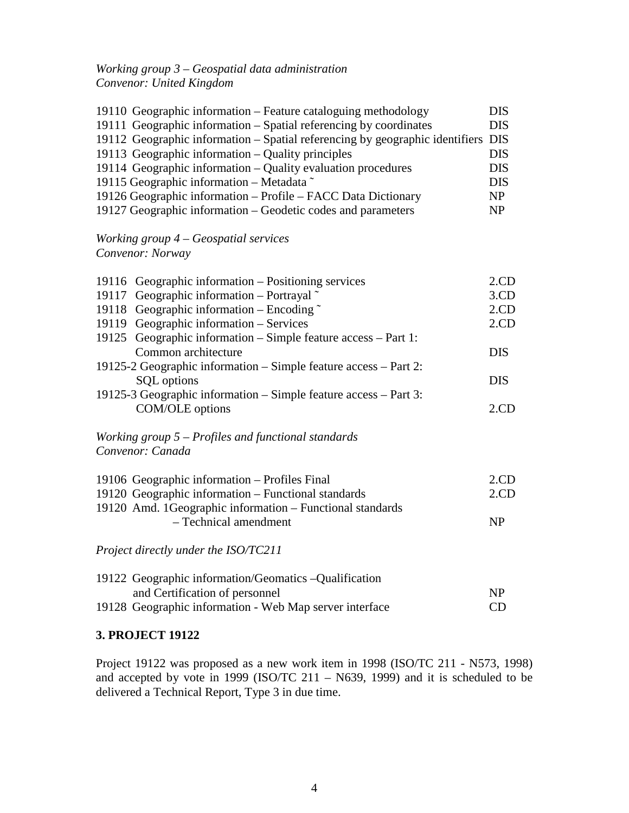# *Working group 3 – Geospatial data administration Convenor: United Kingdom*

| 19110 Geographic information – Feature cataloguing methodology                                                                                        | <b>DIS</b>               |
|-------------------------------------------------------------------------------------------------------------------------------------------------------|--------------------------|
| 19111 Geographic information - Spatial referencing by coordinates<br>19112 Geographic information – Spatial referencing by geographic identifiers DIS | <b>DIS</b>               |
| 19113 Geographic information – Quality principles<br>19114 Geographic information – Quality evaluation procedures                                     | <b>DIS</b><br><b>DIS</b> |
| 19115 Geographic information – Metadata $\tilde{ }$                                                                                                   | <b>DIS</b>               |
| 19126 Geographic information - Profile - FACC Data Dictionary<br>19127 Geographic information – Geodetic codes and parameters                         | <b>NP</b><br><b>NP</b>   |
|                                                                                                                                                       |                          |

# *Working group 4 – Geospatial services Convenor: Norway*

| 19116 Geographic information – Positioning services                       | $2$ .CD    |
|---------------------------------------------------------------------------|------------|
| 19117 Geographic information – Portrayal ~                                | $3$ .CD    |
| 19118 Geographic information – Encoding $\tilde{ }$                       | 2.CD       |
| 19119 Geographic information - Services                                   | $2$ .CD    |
| 19125 Geographic information – Simple feature access – Part 1:            |            |
| Common architecture                                                       | <b>DIS</b> |
| 19125-2 Geographic information – Simple feature access – Part 2:          |            |
| SQL options                                                               | <b>DIS</b> |
| 19125-3 Geographic information – Simple feature access – Part 3:          |            |
| COM/OLE options                                                           | $2$ .CD    |
| Working group $5$ – Profiles and functional standards<br>Convenor: Canada |            |
| 19106 Geographic information – Profiles Final                             | $2$ .CD    |
| 19120 Geographic information - Functional standards                       | $2$ .CD    |
| 19120 Amd. 1Geographic information – Functional standards                 |            |
| - Technical amendment                                                     | NP         |
| Project directly under the ISO/TC211                                      |            |
| 19122 Geographic information/Geomatics -Qualification                     |            |
| and Certification of personnel                                            | NP         |
| 19128 Geographic information - Web Map server interface                   | CD         |

# **3. PROJECT 19122**

Project 19122 was proposed as a new work item in 1998 (ISO/TC 211 - N573, 1998) and accepted by vote in 1999 (ISO/TC 211 – N639, 1999) and it is scheduled to be delivered a Technical Report, Type 3 in due time.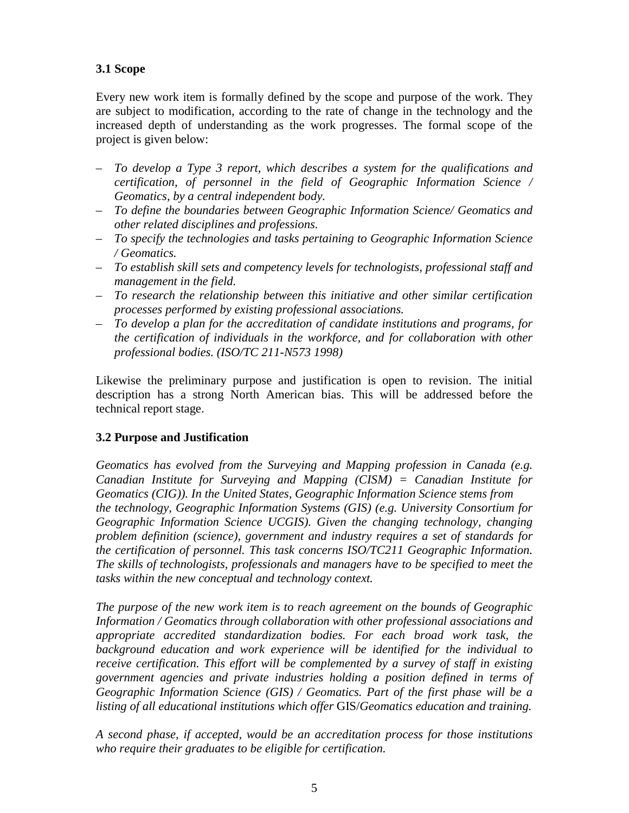# **3.1 Scope**

Every new work item is formally defined by the scope and purpose of the work. They are subject to modification, according to the rate of change in the technology and the increased depth of understanding as the work progresses. The formal scope of the project is given below:

- *To develop a Type 3 report, which describes a system for the qualifications and certification, of personnel in the field of Geographic Information Science / Geomatics, by a central independent body.*
- *To define the boundaries between Geographic Information Science/ Geomatics and other related disciplines and professions.*
- *To specify the technologies and tasks pertaining to Geographic Information Science / Geomatics.*
- *To establish skill sets and competency levels for technologists, professional staff and management in the field.*
- *To research the relationship between this initiative and other similar certification processes performed by existing professional associations.*
- *To develop a plan for the accreditation of candidate institutions and programs, for the certification of individuals in the workforce, and for collaboration with other professional bodies. (ISO/TC 211-N573 1998)*

Likewise the preliminary purpose and justification is open to revision. The initial description has a strong North American bias. This will be addressed before the technical report stage.

# **3.2 Purpose and Justification**

*Geomatics has evolved from the Surveying and Mapping profession in Canada (e.g. Canadian Institute for Surveying and Mapping (CISM) = Canadian Institute for Geomatics (CIG)). In the United States, Geographic Information Science stems from the technology, Geographic Information Systems (GIS) (e.g. University Consortium for Geographic Information Science UCGIS). Given the changing technology, changing problem definition (science), government and industry requires a set of standards for the certification of personnel. This task concerns ISO/TC211 Geographic Information. The skills of technologists, professionals and managers have to be specified to meet the tasks within the new conceptual and technology context.*

*The purpose of the new work item is to reach agreement on the bounds of Geographic Information / Geomatics through collaboration with other professional associations and appropriate accredited standardization bodies. For each broad work task, the background education and work experience will be identified for the individual to receive certification. This effort will be complemented by a survey of staff in existing government agencies and private industries holding a position defined in terms of Geographic Information Science (GIS) / Geomatics. Part of the first phase will be a listing of all educational institutions which offer* GIS/*Geomatics education and training.*

*A second phase, if accepted, would be an accreditation process for those institutions who require their graduates to be eligible for certification.*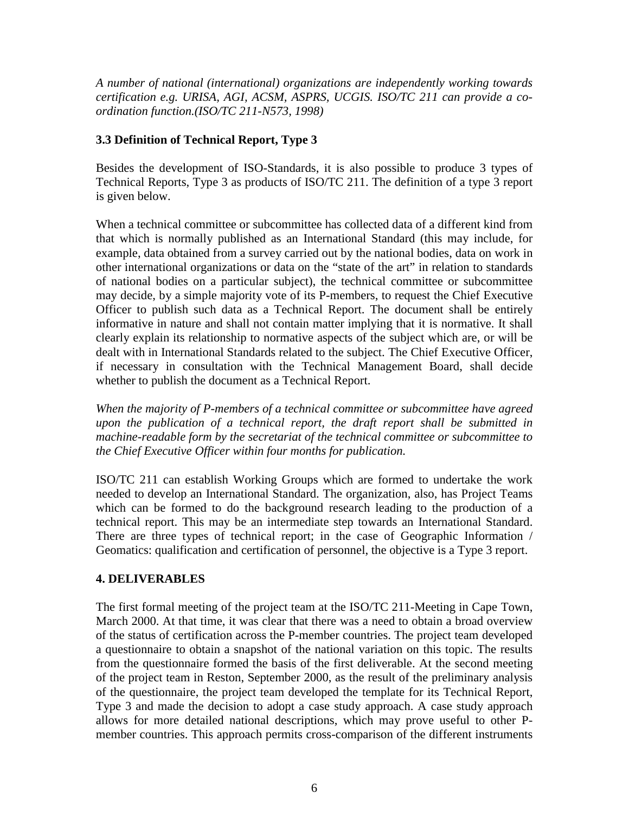*A number of national (international) organizations are independently working towards certification e.g. URISA, AGI, ACSM, ASPRS, UCGIS. ISO/TC 211 can provide a coordination function.(ISO/TC 211-N573, 1998)*

# **3.3 Definition of Technical Report, Type 3**

Besides the development of ISO-Standards, it is also possible to produce 3 types of Technical Reports, Type 3 as products of ISO/TC 211. The definition of a type 3 report is given below.

When a technical committee or subcommittee has collected data of a different kind from that which is normally published as an International Standard (this may include, for example, data obtained from a survey carried out by the national bodies, data on work in other international organizations or data on the "state of the art" in relation to standards of national bodies on a particular subject), the technical committee or subcommittee may decide, by a simple majority vote of its P-members, to request the Chief Executive Officer to publish such data as a Technical Report. The document shall be entirely informative in nature and shall not contain matter implying that it is normative. It shall clearly explain its relationship to normative aspects of the subject which are, or will be dealt with in International Standards related to the subject. The Chief Executive Officer, if necessary in consultation with the Technical Management Board, shall decide whether to publish the document as a Technical Report.

*When the majority of P-members of a technical committee or subcommittee have agreed upon the publication of a technical report, the draft report shall be submitted in machine-readable form by the secretariat of the technical committee or subcommittee to the Chief Executive Officer within four months for publication.*

ISO/TC 211 can establish Working Groups which are formed to undertake the work needed to develop an International Standard. The organization, also, has Project Teams which can be formed to do the background research leading to the production of a technical report. This may be an intermediate step towards an International Standard. There are three types of technical report; in the case of Geographic Information / Geomatics: qualification and certification of personnel, the objective is a Type 3 report.

# **4. DELIVERABLES**

The first formal meeting of the project team at the ISO/TC 211-Meeting in Cape Town, March 2000. At that time, it was clear that there was a need to obtain a broad overview of the status of certification across the P-member countries. The project team developed a questionnaire to obtain a snapshot of the national variation on this topic. The results from the questionnaire formed the basis of the first deliverable. At the second meeting of the project team in Reston, September 2000, as the result of the preliminary analysis of the questionnaire, the project team developed the template for its Technical Report, Type 3 and made the decision to adopt a case study approach. A case study approach allows for more detailed national descriptions, which may prove useful to other Pmember countries. This approach permits cross-comparison of the different instruments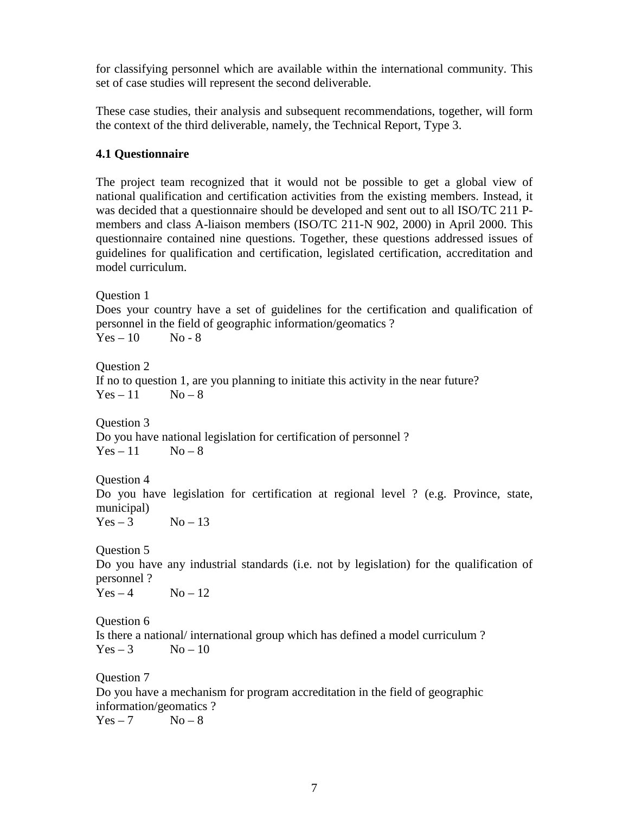for classifying personnel which are available within the international community. This set of case studies will represent the second deliverable.

These case studies, their analysis and subsequent recommendations, together, will form the context of the third deliverable, namely, the Technical Report, Type 3.

### **4.1 Questionnaire**

The project team recognized that it would not be possible to get a global view of national qualification and certification activities from the existing members. Instead, it was decided that a questionnaire should be developed and sent out to all ISO/TC 211 Pmembers and class A-liaison members (ISO/TC 211-N 902, 2000) in April 2000. This questionnaire contained nine questions. Together, these questions addressed issues of guidelines for qualification and certification, legislated certification, accreditation and model curriculum.

Question 1 Does your country have a set of guidelines for the certification and qualification of personnel in the field of geographic information/geomatics ?  $Yes - 10$  No - 8 Question 2 If no to question 1, are you planning to initiate this activity in the near future?  $Yes - 11$   $No - 8$ Question 3 Do you have national legislation for certification of personnel ?  $Yes - 11$   $No - 8$ Question 4 Do you have legislation for certification at regional level ? (e.g. Province, state, municipal)  $Yes - 3$   $No - 13$ Question 5 Do you have any industrial standards (i.e. not by legislation) for the qualification of personnel ?  $Yes - 4$   $No - 12$ Question 6 Is there a national/ international group which has defined a model curriculum ?  $Yes - 3$   $No - 10$ Question 7 Do you have a mechanism for program accreditation in the field of geographic information/geomatics ?  $Yes - 7$   $No - 8$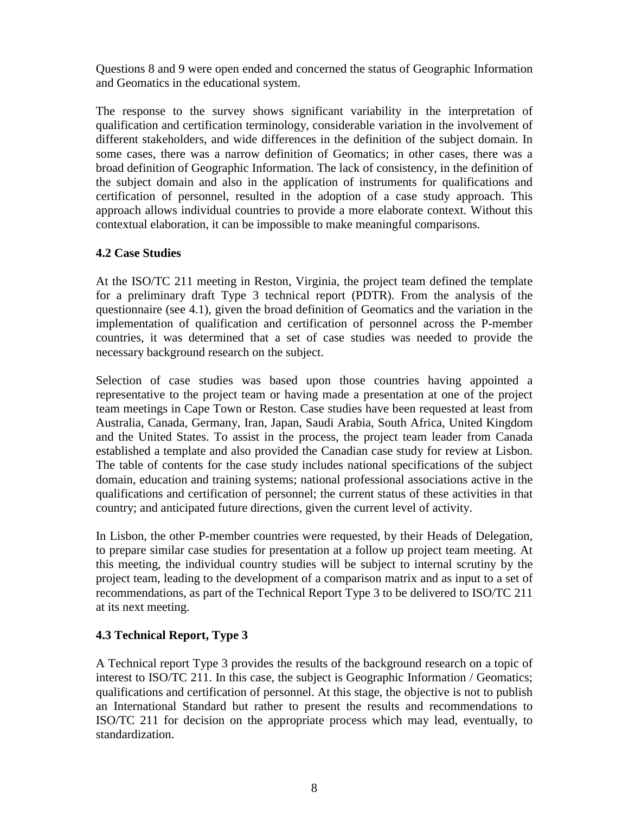Questions 8 and 9 were open ended and concerned the status of Geographic Information and Geomatics in the educational system.

The response to the survey shows significant variability in the interpretation of qualification and certification terminology, considerable variation in the involvement of different stakeholders, and wide differences in the definition of the subject domain. In some cases, there was a narrow definition of Geomatics; in other cases, there was a broad definition of Geographic Information. The lack of consistency, in the definition of the subject domain and also in the application of instruments for qualifications and certification of personnel, resulted in the adoption of a case study approach. This approach allows individual countries to provide a more elaborate context. Without this contextual elaboration, it can be impossible to make meaningful comparisons.

#### **4.2 Case Studies**

At the ISO/TC 211 meeting in Reston, Virginia, the project team defined the template for a preliminary draft Type 3 technical report (PDTR). From the analysis of the questionnaire (see 4.1), given the broad definition of Geomatics and the variation in the implementation of qualification and certification of personnel across the P-member countries, it was determined that a set of case studies was needed to provide the necessary background research on the subject.

Selection of case studies was based upon those countries having appointed a representative to the project team or having made a presentation at one of the project team meetings in Cape Town or Reston. Case studies have been requested at least from Australia, Canada, Germany, Iran, Japan, Saudi Arabia, South Africa, United Kingdom and the United States. To assist in the process, the project team leader from Canada established a template and also provided the Canadian case study for review at Lisbon. The table of contents for the case study includes national specifications of the subject domain, education and training systems; national professional associations active in the qualifications and certification of personnel; the current status of these activities in that country; and anticipated future directions, given the current level of activity.

In Lisbon, the other P-member countries were requested, by their Heads of Delegation, to prepare similar case studies for presentation at a follow up project team meeting. At this meeting, the individual country studies will be subject to internal scrutiny by the project team, leading to the development of a comparison matrix and as input to a set of recommendations, as part of the Technical Report Type 3 to be delivered to ISO/TC 211 at its next meeting.

# **4.3 Technical Report, Type 3**

A Technical report Type 3 provides the results of the background research on a topic of interest to ISO/TC 211. In this case, the subject is Geographic Information / Geomatics; qualifications and certification of personnel. At this stage, the objective is not to publish an International Standard but rather to present the results and recommendations to ISO/TC 211 for decision on the appropriate process which may lead, eventually, to standardization.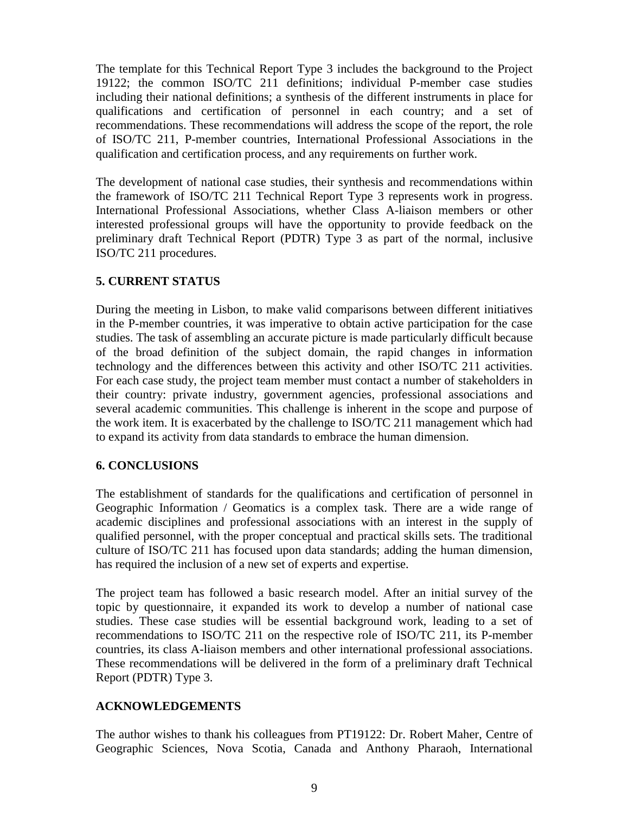The template for this Technical Report Type 3 includes the background to the Project 19122; the common ISO/TC 211 definitions; individual P-member case studies including their national definitions; a synthesis of the different instruments in place for qualifications and certification of personnel in each country; and a set of recommendations. These recommendations will address the scope of the report, the role of ISO/TC 211, P-member countries, International Professional Associations in the qualification and certification process, and any requirements on further work.

The development of national case studies, their synthesis and recommendations within the framework of ISO/TC 211 Technical Report Type 3 represents work in progress. International Professional Associations, whether Class A-liaison members or other interested professional groups will have the opportunity to provide feedback on the preliminary draft Technical Report (PDTR) Type 3 as part of the normal, inclusive ISO/TC 211 procedures.

# **5. CURRENT STATUS**

During the meeting in Lisbon, to make valid comparisons between different initiatives in the P-member countries, it was imperative to obtain active participation for the case studies. The task of assembling an accurate picture is made particularly difficult because of the broad definition of the subject domain, the rapid changes in information technology and the differences between this activity and other ISO/TC 211 activities. For each case study, the project team member must contact a number of stakeholders in their country: private industry, government agencies, professional associations and several academic communities. This challenge is inherent in the scope and purpose of the work item. It is exacerbated by the challenge to ISO/TC 211 management which had to expand its activity from data standards to embrace the human dimension.

#### **6. CONCLUSIONS**

The establishment of standards for the qualifications and certification of personnel in Geographic Information / Geomatics is a complex task. There are a wide range of academic disciplines and professional associations with an interest in the supply of qualified personnel, with the proper conceptual and practical skills sets. The traditional culture of ISO/TC 211 has focused upon data standards; adding the human dimension, has required the inclusion of a new set of experts and expertise.

The project team has followed a basic research model. After an initial survey of the topic by questionnaire, it expanded its work to develop a number of national case studies. These case studies will be essential background work, leading to a set of recommendations to ISO/TC 211 on the respective role of ISO/TC 211, its P-member countries, its class A-liaison members and other international professional associations. These recommendations will be delivered in the form of a preliminary draft Technical Report (PDTR) Type 3.

# **ACKNOWLEDGEMENTS**

The author wishes to thank his colleagues from PT19122: Dr. Robert Maher, Centre of Geographic Sciences, Nova Scotia, Canada and Anthony Pharaoh, International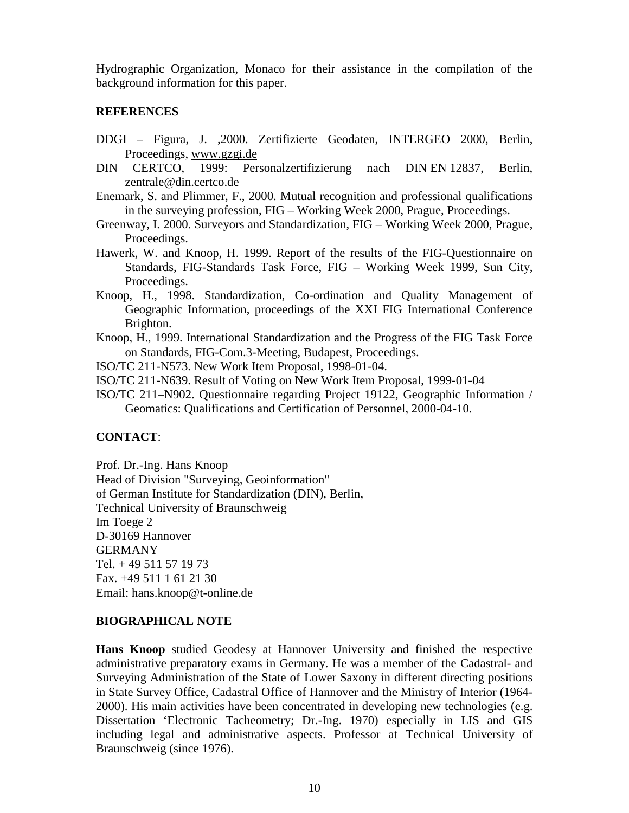Hydrographic Organization, Monaco for their assistance in the compilation of the background information for this paper.

#### **REFERENCES**

- DDGI Figura, J. ,2000. Zertifizierte Geodaten, INTERGEO 2000, Berlin, Proceedings, www.gzgi.de
- DIN CERTCO, 1999: Personalzertifizierung nach DIN EN 12837, Berlin, zentrale@din.certco.de
- Enemark, S. and Plimmer, F., 2000. Mutual recognition and professional qualifications in the surveying profession, FIG – Working Week 2000, Prague, Proceedings.
- Greenway, I. 2000. Surveyors and Standardization, FIG Working Week 2000, Prague, Proceedings.
- Hawerk, W. and Knoop, H. 1999. Report of the results of the FIG-Questionnaire on Standards, FIG-Standards Task Force, FIG – Working Week 1999, Sun City, Proceedings.
- Knoop, H., 1998. Standardization, Co-ordination and Quality Management of Geographic Information, proceedings of the XXI FIG International Conference Brighton.
- Knoop, H., 1999. International Standardization and the Progress of the FIG Task Force on Standards, FIG-Com.3-Meeting, Budapest, Proceedings.

ISO/TC 211-N573. New Work Item Proposal, 1998-01-04.

- ISO/TC 211-N639. Result of Voting on New Work Item Proposal, 1999-01-04
- ISO/TC 211–N902. Questionnaire regarding Project 19122, Geographic Information / Geomatics: Qualifications and Certification of Personnel, 2000-04-10.

#### **CONTACT**:

Prof. Dr.-Ing. Hans Knoop Head of Division "Surveying, Geoinformation" of German Institute for Standardization (DIN), Berlin, Technical University of Braunschweig Im Toege 2 D-30169 Hannover GERMANY Tel. + 49 511 57 19 73 Fax. +49 511 1 61 21 30 Email: hans.knoop@t-online.de

#### **BIOGRAPHICAL NOTE**

**Hans Knoop** studied Geodesy at Hannover University and finished the respective administrative preparatory exams in Germany. He was a member of the Cadastral- and Surveying Administration of the State of Lower Saxony in different directing positions in State Survey Office, Cadastral Office of Hannover and the Ministry of Interior (1964- 2000). His main activities have been concentrated in developing new technologies (e.g. Dissertation 'Electronic Tacheometry; Dr.-Ing. 1970) especially in LIS and GIS including legal and administrative aspects. Professor at Technical University of Braunschweig (since 1976).